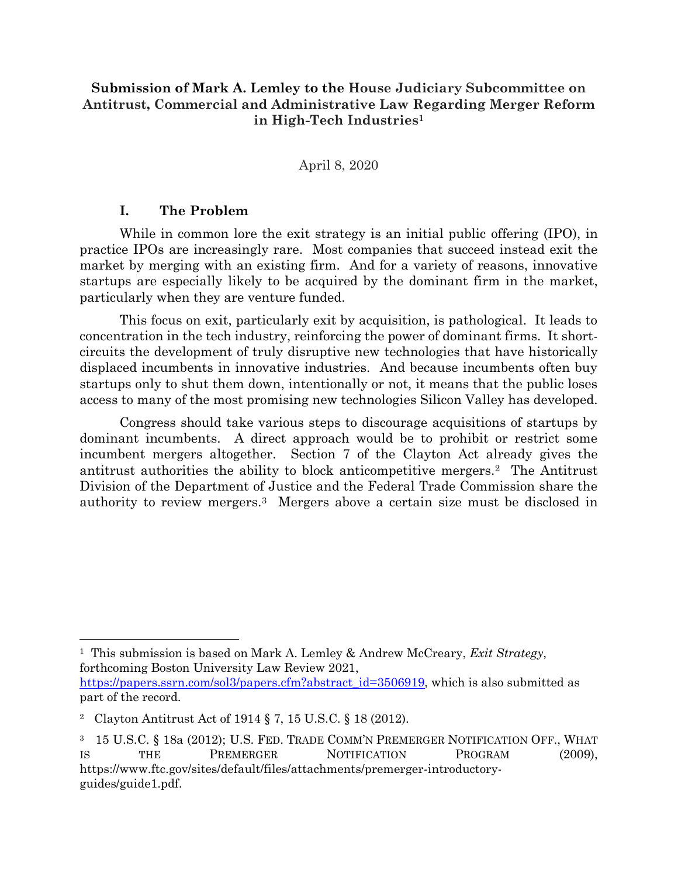## **Submission of Mark A. Lemley to the House Judiciary Subcommittee on Antitrust, Commercial and Administrative Law Regarding Merger Reform in High-Tech Industries<sup>1</sup>**

## April 8, 2020

## **I. The Problem**

While in common lore the exit strategy is an initial public offering (IPO), in practice IPOs are increasingly rare. Most companies that succeed instead exit the market by merging with an existing firm. And for a variety of reasons, innovative startups are especially likely to be acquired by the dominant firm in the market, particularly when they are venture funded.

This focus on exit, particularly exit by acquisition, is pathological. It leads to concentration in the tech industry, reinforcing the power of dominant firms. It shortcircuits the development of truly disruptive new technologies that have historically displaced incumbents in innovative industries. And because incumbents often buy startups only to shut them down, intentionally or not, it means that the public loses access to many of the most promising new technologies Silicon Valley has developed.

Congress should take various steps to discourage acquisitions of startups by dominant incumbents. A direct approach would be to prohibit or restrict some incumbent mergers altogether. Section 7 of the Clayton Act already gives the antitrust authorities the ability to block anticompetitive mergers.2 The Antitrust Division of the Department of Justice and the Federal Trade Commission share the authority to review mergers.3 Mergers above a certain size must be disclosed in

<sup>1</sup> This submission is based on Mark A. Lemley & Andrew McCreary, *Exit Strategy*, forthcoming Boston University Law Review 2021,

[https://papers.ssrn.com/sol3/papers.cfm?abstract\\_id=3506919,](https://papers.ssrn.com/sol3/papers.cfm?abstract_id=3506919) which is also submitted as part of the record.

<sup>2</sup> Clayton Antitrust Act of 1914 § 7, 15 U.S.C. § 18 (2012).

<sup>3</sup> 15 U.S.C. § 18a (2012); U.S. FED. TRADE COMM'N PREMERGER NOTIFICATION OFF., WHAT IS THE PREMERGER NOTIFICATION PROGRAM (2009), https://www.ftc.gov/sites/default/files/attachments/premerger-introductoryguides/guide1.pdf.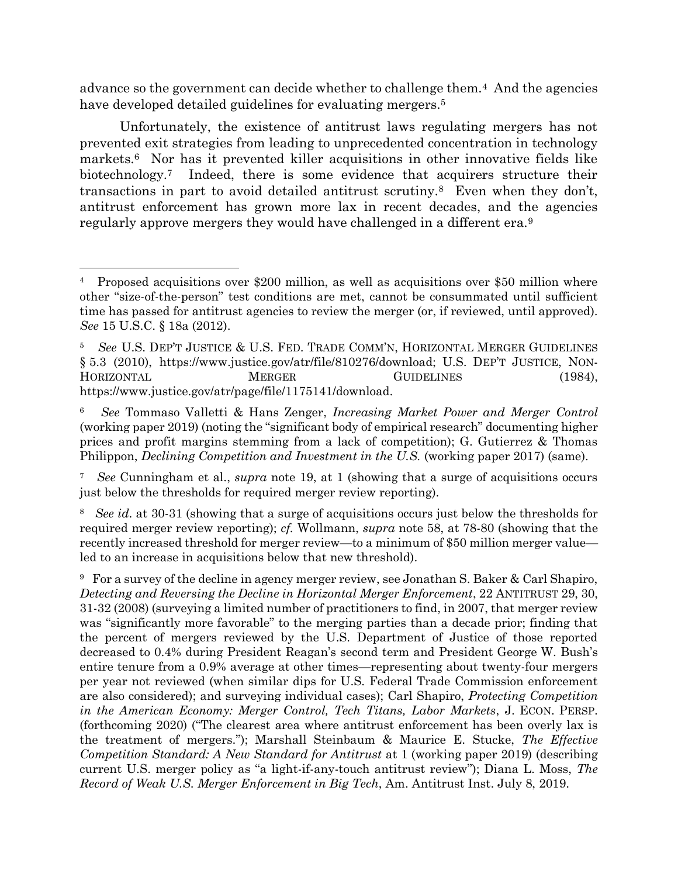advance so the government can decide whether to challenge them.4 And the agencies have developed detailed guidelines for evaluating mergers.<sup>5</sup>

Unfortunately, the existence of antitrust laws regulating mergers has not prevented exit strategies from leading to unprecedented concentration in technology markets.6 Nor has it prevented killer acquisitions in other innovative fields like biotechnology.7 Indeed, there is some evidence that acquirers structure their transactions in part to avoid detailed antitrust scrutiny.<sup>8</sup> Even when they don't, antitrust enforcement has grown more lax in recent decades, and the agencies regularly approve mergers they would have challenged in a different era.<sup>9</sup>

7 *See* Cunningham et al., *supra* note 19, at 1 (showing that a surge of acquisitions occurs just below the thresholds for required merger review reporting).

8 *See id*. at 30-31 (showing that a surge of acquisitions occurs just below the thresholds for required merger review reporting); *cf.* Wollmann, *supra* note 58, at 78-80 (showing that the recently increased threshold for merger review—to a minimum of \$50 million merger value led to an increase in acquisitions below that new threshold).

<sup>9</sup> For a survey of the decline in agency merger review, see Jonathan S. Baker & Carl Shapiro, *Detecting and Reversing the Decline in Horizontal Merger Enforcement*, 22 ANTITRUST 29, 30, 31-32 (2008) (surveying a limited number of practitioners to find, in 2007, that merger review was "significantly more favorable" to the merging parties than a decade prior; finding that the percent of mergers reviewed by the U.S. Department of Justice of those reported decreased to 0.4% during President Reagan's second term and President George W. Bush's entire tenure from a 0.9% average at other times—representing about twenty-four mergers per year not reviewed (when similar dips for U.S. Federal Trade Commission enforcement are also considered); and surveying individual cases); Carl Shapiro, *Protecting Competition in the American Economy: Merger Control, Tech Titans, Labor Markets*, J. ECON. PERSP. (forthcoming 2020) ("The clearest area where antitrust enforcement has been overly lax is the treatment of mergers."); Marshall Steinbaum & Maurice E. Stucke, *The Effective Competition Standard: A New Standard for Antitrust* at 1 (working paper 2019) (describing current U.S. merger policy as "a light-if-any-touch antitrust review"); Diana L. Moss, *The Record of Weak U.S. Merger Enforcement in Big Tech*, Am. Antitrust Inst. July 8, 2019.

<sup>&</sup>lt;sup>4</sup> Proposed acquisitions over \$200 million, as well as acquisitions over \$50 million where other "size-of-the-person" test conditions are met, cannot be consummated until sufficient time has passed for antitrust agencies to review the merger (or, if reviewed, until approved). *See* 15 U.S.C. § 18a (2012).

<sup>5</sup> *See* U.S. DEP'T JUSTICE & U.S. FED. TRADE COMM'N, HORIZONTAL MERGER GUIDELINES § 5.3 (2010), https://www.justice.gov/atr/file/810276/download; U.S. DEP'T JUSTICE, NON-HORIZONTAL MERGER GUIDELINES (1984), https://www.justice.gov/atr/page/file/1175141/download.

<sup>6</sup> *See* Tommaso Valletti & Hans Zenger, *Increasing Market Power and Merger Control* (working paper 2019) (noting the "significant body of empirical research" documenting higher prices and profit margins stemming from a lack of competition); G. Gutierrez & Thomas Philippon, *Declining Competition and Investment in the U.S.* (working paper 2017) (same).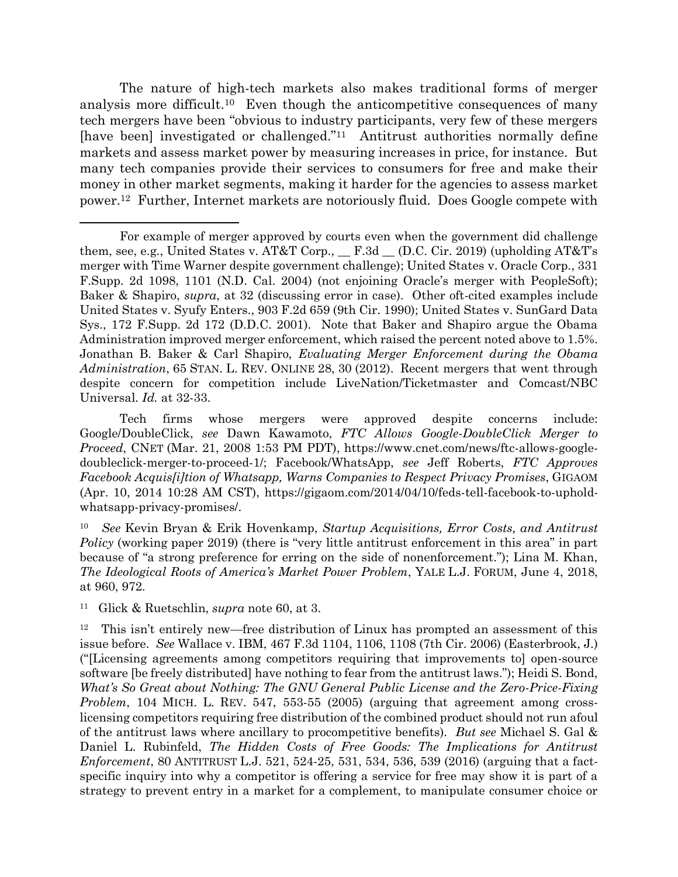The nature of high-tech markets also makes traditional forms of merger analysis more difficult.10 Even though the anticompetitive consequences of many tech mergers have been "obvious to industry participants, very few of these mergers [have been] investigated or challenged."11 Antitrust authorities normally define markets and assess market power by measuring increases in price, for instance. But many tech companies provide their services to consumers for free and make their money in other market segments, making it harder for the agencies to assess market power.12 Further, Internet markets are notoriously fluid. Does Google compete with

Tech firms whose mergers were approved despite concerns include: Google/DoubleClick, *see* Dawn Kawamoto, *FTC Allows Google-DoubleClick Merger to Proceed*, CNET (Mar. 21, 2008 1:53 PM PDT), https://www.cnet.com/news/ftc-allows-googledoubleclick-merger-to-proceed-1/; Facebook/WhatsApp, *see* Jeff Roberts, *FTC Approves Facebook Acquis[i]tion of Whatsapp, Warns Companies to Respect Privacy Promises*, GIGAOM (Apr. 10, 2014 10:28 AM CST), https://gigaom.com/2014/04/10/feds-tell-facebook-to-upholdwhatsapp-privacy-promises/.

10 *See* Kevin Bryan & Erik Hovenkamp, *Startup Acquisitions, Error Costs, and Antitrust Policy* (working paper 2019) (there is "very little antitrust enforcement in this area" in part because of "a strong preference for erring on the side of nonenforcement."); Lina M. Khan, *The Ideological Roots of America's Market Power Problem*, YALE L.J. FORUM, June 4, 2018, at 960, 972.

11 Glick & Ruetschlin, *supra* note 60, at 3.

12 This isn't entirely new—free distribution of Linux has prompted an assessment of this issue before. *See* Wallace v. IBM, 467 F.3d 1104, 1106, 1108 (7th Cir. 2006) (Easterbrook, J.) ("[Licensing agreements among competitors requiring that improvements to] open-source software [be freely distributed] have nothing to fear from the antitrust laws."); Heidi S. Bond, *What's So Great about Nothing: The GNU General Public License and the Zero-Price-Fixing Problem*, 104 MICH. L. REV. 547, 553-55 (2005) (arguing that agreement among crosslicensing competitors requiring free distribution of the combined product should not run afoul of the antitrust laws where ancillary to procompetitive benefits). *But see* Michael S. Gal & Daniel L. Rubinfeld, *The Hidden Costs of Free Goods: The Implications for Antitrust Enforcement*, 80 ANTITRUST L.J. 521, 524-25, 531, 534, 536, 539 (2016) (arguing that a factspecific inquiry into why a competitor is offering a service for free may show it is part of a strategy to prevent entry in a market for a complement, to manipulate consumer choice or

For example of merger approved by courts even when the government did challenge them, see, e.g., United States v. AT&T Corp.,  $\Gamma$ . F.3d  $\Gamma$  (D.C. Cir. 2019) (upholding AT&T's merger with Time Warner despite government challenge); United States v. Oracle Corp., 331 F.Supp. 2d 1098, 1101 (N.D. Cal. 2004) (not enjoining Oracle's merger with PeopleSoft); Baker & Shapiro, *supra*, at 32 (discussing error in case). Other oft-cited examples include United States v. Syufy Enters., 903 F.2d 659 (9th Cir. 1990); United States v. SunGard Data Sys., 172 F.Supp. 2d 172 (D.D.C. 2001). Note that Baker and Shapiro argue the Obama Administration improved merger enforcement, which raised the percent noted above to 1.5%. Jonathan B. Baker & Carl Shapiro, *Evaluating Merger Enforcement during the Obama Administration*, 65 STAN. L. REV. ONLINE 28, 30 (2012). Recent mergers that went through despite concern for competition include LiveNation/Ticketmaster and Comcast/NBC Universal. *Id.* at 32-33.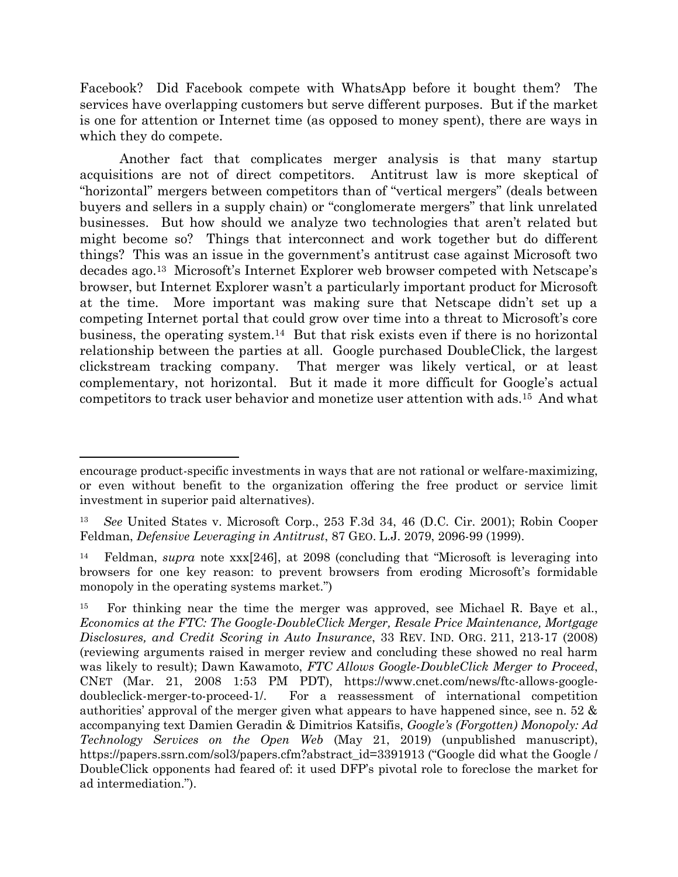Facebook? Did Facebook compete with WhatsApp before it bought them? The services have overlapping customers but serve different purposes. But if the market is one for attention or Internet time (as opposed to money spent), there are ways in which they do compete.

Another fact that complicates merger analysis is that many startup acquisitions are not of direct competitors. Antitrust law is more skeptical of "horizontal" mergers between competitors than of "vertical mergers" (deals between buyers and sellers in a supply chain) or "conglomerate mergers" that link unrelated businesses. But how should we analyze two technologies that aren't related but might become so? Things that interconnect and work together but do different things? This was an issue in the government's antitrust case against Microsoft two decades ago.<sup>13</sup> Microsoft's Internet Explorer web browser competed with Netscape's browser, but Internet Explorer wasn't a particularly important product for Microsoft at the time. More important was making sure that Netscape didn't set up a competing Internet portal that could grow over time into a threat to Microsoft's core business, the operating system.14 But that risk exists even if there is no horizontal relationship between the parties at all. Google purchased DoubleClick, the largest clickstream tracking company. That merger was likely vertical, or at least complementary, not horizontal. But it made it more difficult for Google's actual competitors to track user behavior and monetize user attention with ads.15 And what

encourage product-specific investments in ways that are not rational or welfare-maximizing, or even without benefit to the organization offering the free product or service limit investment in superior paid alternatives).

<sup>13</sup> *See* United States v. Microsoft Corp., 253 F.3d 34, 46 (D.C. Cir. 2001); Robin Cooper Feldman, *Defensive Leveraging in Antitrust*, 87 GEO. L.J. 2079, 2096-99 (1999).

<sup>14</sup> Feldman, *supra* note xxx[246], at 2098 (concluding that "Microsoft is leveraging into browsers for one key reason: to prevent browsers from eroding Microsoft's formidable monopoly in the operating systems market.")

<sup>15</sup> For thinking near the time the merger was approved, see Michael R. Baye et al., *Economics at the FTC: The Google-DoubleClick Merger, Resale Price Maintenance, Mortgage Disclosures, and Credit Scoring in Auto Insurance*, 33 REV. IND. ORG. 211, 213-17 (2008) (reviewing arguments raised in merger review and concluding these showed no real harm was likely to result); Dawn Kawamoto, *FTC Allows Google-DoubleClick Merger to Proceed*, CNET (Mar. 21, 2008 1:53 PM PDT), https://www.cnet.com/news/ftc-allows-googledoubleclick-merger-to-proceed-1/. For a reassessment of international competition authorities' approval of the merger given what appears to have happened since, see n. 52 & accompanying text Damien Geradin & Dimitrios Katsifis, *Google's (Forgotten) Monopoly: Ad Technology Services on the Open Web* (May 21, 2019) (unpublished manuscript), https://papers.ssrn.com/sol3/papers.cfm?abstract\_id=3391913 ("Google did what the Google / DoubleClick opponents had feared of: it used DFP's pivotal role to foreclose the market for ad intermediation.").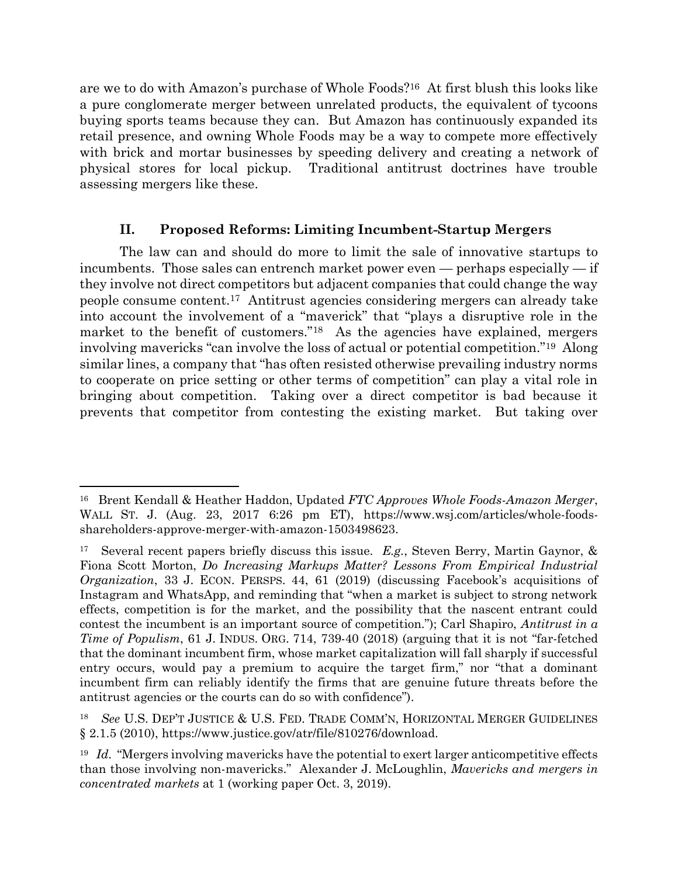are we to do with Amazon's purchase of Whole Foods?16 At first blush this looks like a pure conglomerate merger between unrelated products, the equivalent of tycoons buying sports teams because they can. But Amazon has continuously expanded its retail presence, and owning Whole Foods may be a way to compete more effectively with brick and mortar businesses by speeding delivery and creating a network of physical stores for local pickup. Traditional antitrust doctrines have trouble assessing mergers like these.

## **II. Proposed Reforms: Limiting Incumbent-Startup Mergers**

The law can and should do more to limit the sale of innovative startups to incumbents. Those sales can entrench market power even — perhaps especially — if they involve not direct competitors but adjacent companies that could change the way people consume content.17 Antitrust agencies considering mergers can already take into account the involvement of a "maverick" that "plays a disruptive role in the market to the benefit of customers."<sup>18</sup> As the agencies have explained, mergers involving mavericks "can involve the loss of actual or potential competition."19 Along similar lines, a company that "has often resisted otherwise prevailing industry norms to cooperate on price setting or other terms of competition" can play a vital role in bringing about competition. Taking over a direct competitor is bad because it prevents that competitor from contesting the existing market. But taking over

18 *See* U.S. DEP'T JUSTICE & U.S. FED. TRADE COMM'N, HORIZONTAL MERGER GUIDELINES § 2.1.5 (2010), https://www.justice.gov/atr/file/810276/download.

<sup>16</sup> Brent Kendall & Heather Haddon, Updated *FTC Approves Whole Foods-Amazon Merger*, WALL ST. J. (Aug. 23, 2017 6:26 pm ET), https://www.wsj.com/articles/whole-foodsshareholders-approve-merger-with-amazon-1503498623.

<sup>17</sup> Several recent papers briefly discuss this issue. *E.g.*, Steven Berry, Martin Gaynor, & Fiona Scott Morton, *Do Increasing Markups Matter? Lessons From Empirical Industrial Organization*, 33 J. ECON. PERSPS. 44, 61 (2019) (discussing Facebook's acquisitions of Instagram and WhatsApp, and reminding that "when a market is subject to strong network effects, competition is for the market, and the possibility that the nascent entrant could contest the incumbent is an important source of competition."); Carl Shapiro, *Antitrust in a Time of Populism*, 61 J. INDUS. ORG. 714, 739-40 (2018) (arguing that it is not "far-fetched" that the dominant incumbent firm, whose market capitalization will fall sharply if successful entry occurs, would pay a premium to acquire the target firm," nor "that a dominant incumbent firm can reliably identify the firms that are genuine future threats before the antitrust agencies or the courts can do so with confidence").

<sup>&</sup>lt;sup>19</sup> *Id.* "Mergers involving mavericks have the potential to exert larger anticompetitive effects than those involving non-mavericks." Alexander J. McLoughlin, *Mavericks and mergers in concentrated markets* at 1 (working paper Oct. 3, 2019).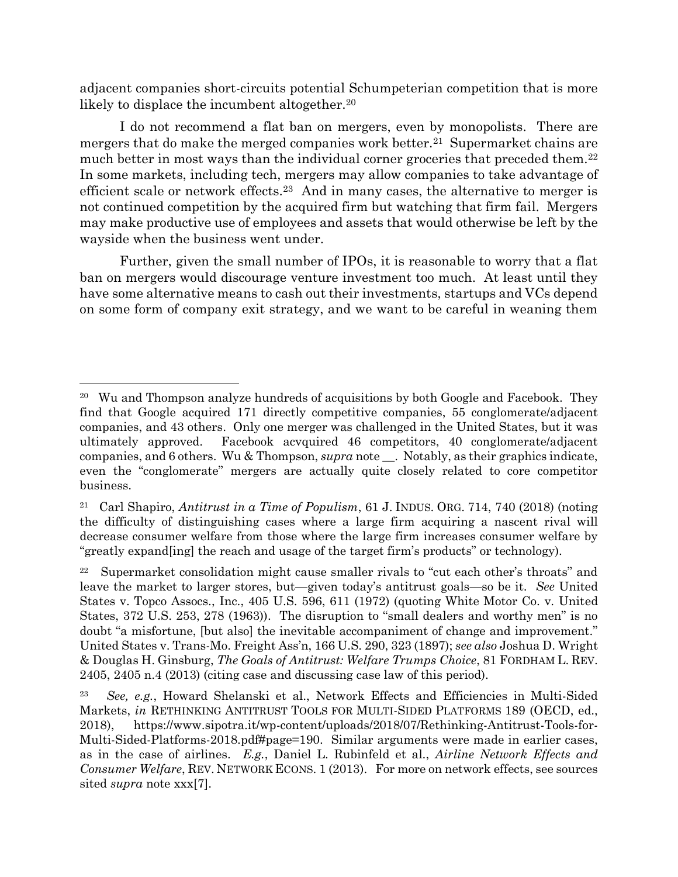adjacent companies short-circuits potential Schumpeterian competition that is more likely to displace the incumbent altogether.<sup>20</sup>

I do not recommend a flat ban on mergers, even by monopolists. There are mergers that do make the merged companies work better.<sup>21</sup> Supermarket chains are much better in most ways than the individual corner groceries that preceded them.<sup>22</sup> In some markets, including tech, mergers may allow companies to take advantage of efficient scale or network effects.23 And in many cases, the alternative to merger is not continued competition by the acquired firm but watching that firm fail. Mergers may make productive use of employees and assets that would otherwise be left by the wayside when the business went under.

Further, given the small number of IPOs, it is reasonable to worry that a flat ban on mergers would discourage venture investment too much. At least until they have some alternative means to cash out their investments, startups and VCs depend on some form of company exit strategy, and we want to be careful in weaning them

<sup>&</sup>lt;sup>20</sup> Wu and Thompson analyze hundreds of acquisitions by both Google and Facebook. They find that Google acquired 171 directly competitive companies, 55 conglomerate/adjacent companies, and 43 others. Only one merger was challenged in the United States, but it was ultimately approved. Facebook acvquired 46 competitors, 40 conglomerate/adjacent companies, and 6 others. Wu & Thompson, *supra* note \_\_. Notably, as their graphics indicate, even the "conglomerate" mergers are actually quite closely related to core competitor business.

<sup>21</sup> Carl Shapiro, *Antitrust in a Time of Populism*, 61 J. INDUS. ORG. 714, 740 (2018) (noting the difficulty of distinguishing cases where a large firm acquiring a nascent rival will decrease consumer welfare from those where the large firm increases consumer welfare by "greatly expand[ing] the reach and usage of the target firm's products" or technology).

<sup>22</sup> Supermarket consolidation might cause smaller rivals to "cut each other's throats" and leave the market to larger stores, but—given today's antitrust goals—so be it. *See* United States v. Topco Assocs., Inc., 405 U.S. 596, 611 (1972) (quoting White Motor Co. v. United States, 372 U.S. 253, 278 (1963)). The disruption to "small dealers and worthy men" is no doubt "a misfortune, [but also] the inevitable accompaniment of change and improvement." United States v. Trans-Mo. Freight Ass'n, 166 U.S. 290, 323 (1897); *see also* Joshua D. Wright & Douglas H. Ginsburg, *The Goals of Antitrust: Welfare Trumps Choice*, 81 FORDHAM L. REV. 2405, 2405 n.4 (2013) (citing case and discussing case law of this period).

<sup>23</sup> *See, e.g.*, Howard Shelanski et al., Network Effects and Efficiencies in Multi-Sided Markets, *in* RETHINKING ANTITRUST TOOLS FOR MULTI-SIDED PLATFORMS 189 (OECD, ed., 2018), https://www.sipotra.it/wp-content/uploads/2018/07/Rethinking-Antitrust-Tools-for-Multi-Sided-Platforms-2018.pdf#page=190. Similar arguments were made in earlier cases, as in the case of airlines. *E.g.*, Daniel L. Rubinfeld et al., *Airline Network Effects and Consumer Welfare*, REV. NETWORK ECONS. 1 (2013). For more on network effects, see sources sited *supra* note xxx[7].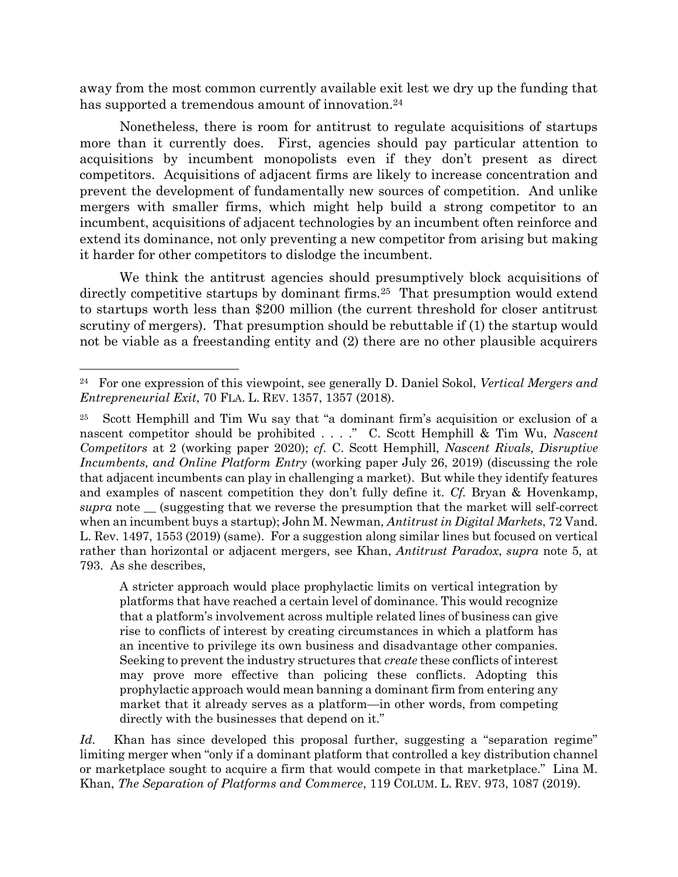away from the most common currently available exit lest we dry up the funding that has supported a tremendous amount of innovation.<sup>24</sup>

Nonetheless, there is room for antitrust to regulate acquisitions of startups more than it currently does. First, agencies should pay particular attention to acquisitions by incumbent monopolists even if they don't present as direct competitors. Acquisitions of adjacent firms are likely to increase concentration and prevent the development of fundamentally new sources of competition. And unlike mergers with smaller firms, which might help build a strong competitor to an incumbent, acquisitions of adjacent technologies by an incumbent often reinforce and extend its dominance, not only preventing a new competitor from arising but making it harder for other competitors to dislodge the incumbent.

We think the antitrust agencies should presumptively block acquisitions of directly competitive startups by dominant firms.<sup>25</sup> That presumption would extend to startups worth less than \$200 million (the current threshold for closer antitrust scrutiny of mergers). That presumption should be rebuttable if (1) the startup would not be viable as a freestanding entity and (2) there are no other plausible acquirers

A stricter approach would place prophylactic limits on vertical integration by platforms that have reached a certain level of dominance. This would recognize that a platform's involvement across multiple related lines of business can give rise to conflicts of interest by creating circumstances in which a platform has an incentive to privilege its own business and disadvantage other companies. Seeking to prevent the industry structures that *create* these conflicts of interest may prove more effective than policing these conflicts. Adopting this prophylactic approach would mean banning a dominant firm from entering any market that it already serves as a platform—in other words, from competing directly with the businesses that depend on it."

<sup>24</sup> For one expression of this viewpoint, see generally D. Daniel Sokol, *Vertical Mergers and Entrepreneurial Exit*, 70 FLA. L. REV. 1357, 1357 (2018).

<sup>25</sup> Scott Hemphill and Tim Wu say that "a dominant firm's acquisition or exclusion of a nascent competitor should be prohibited . . . ." C. Scott Hemphill & Tim Wu, *Nascent Competitors* at 2 (working paper 2020); *cf.* C. Scott Hemphill, *Nascent Rivals, Disruptive Incumbents, and Online Platform Entry* (working paper July 26, 2019) (discussing the role that adjacent incumbents can play in challenging a market). But while they identify features and examples of nascent competition they don't fully define it. *Cf.* Bryan & Hovenkamp, *supra* note \_\_ (suggesting that we reverse the presumption that the market will self-correct when an incumbent buys a startup); John M. Newman, *Antitrust in Digital Markets*, 72 Vand. L. Rev. 1497, 1553 (2019) (same). For a suggestion along similar lines but focused on vertical rather than horizontal or adjacent mergers, see Khan, *Antitrust Paradox*, *supra* note 5, at 793. As she describes,

*Id.* Khan has since developed this proposal further, suggesting a "separation regime" limiting merger when "only if a dominant platform that controlled a key distribution channel or marketplace sought to acquire a firm that would compete in that marketplace." Lina M. Khan, *The Separation of Platforms and Commerce*, 119 COLUM. L. REV. 973, 1087 (2019).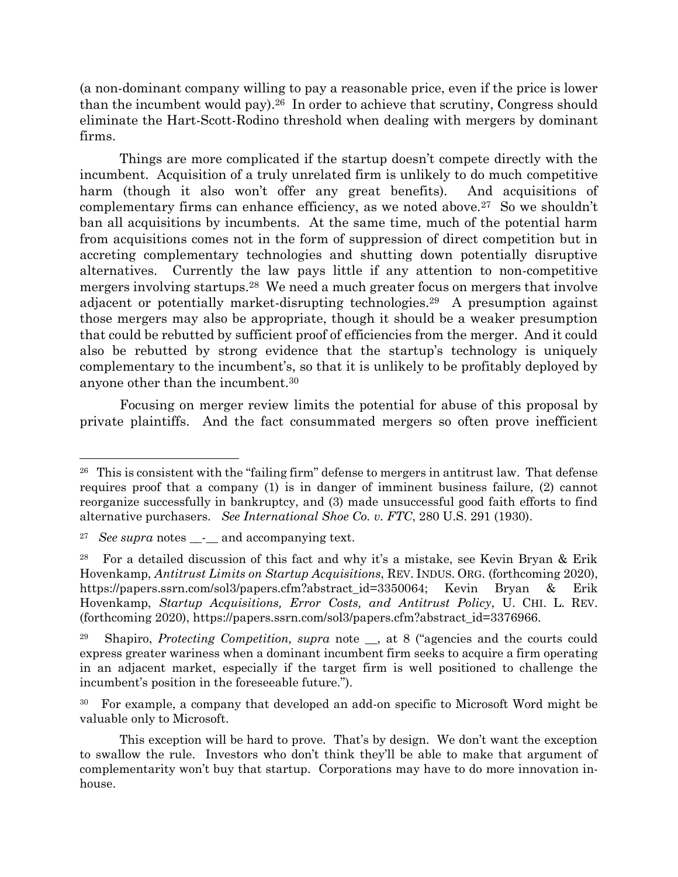(a non-dominant company willing to pay a reasonable price, even if the price is lower than the incumbent would pay).26 In order to achieve that scrutiny, Congress should eliminate the Hart-Scott-Rodino threshold when dealing with mergers by dominant firms.

Things are more complicated if the startup doesn't compete directly with the incumbent. Acquisition of a truly unrelated firm is unlikely to do much competitive harm (though it also won't offer any great benefits). And acquisitions of complementary firms can enhance efficiency, as we noted above.<sup>27</sup> So we shouldn't ban all acquisitions by incumbents. At the same time, much of the potential harm from acquisitions comes not in the form of suppression of direct competition but in accreting complementary technologies and shutting down potentially disruptive alternatives. Currently the law pays little if any attention to non-competitive mergers involving startups.28 We need a much greater focus on mergers that involve adjacent or potentially market-disrupting technologies.29 A presumption against those mergers may also be appropriate, though it should be a weaker presumption that could be rebutted by sufficient proof of efficiencies from the merger. And it could also be rebutted by strong evidence that the startup's technology is uniquely complementary to the incumbent's, so that it is unlikely to be profitably deployed by anyone other than the incumbent.<sup>30</sup>

Focusing on merger review limits the potential for abuse of this proposal by private plaintiffs. And the fact consummated mergers so often prove inefficient

<sup>&</sup>lt;sup>26</sup> This is consistent with the "failing firm" defense to mergers in antitrust law. That defense requires proof that a company (1) is in danger of imminent business failure, (2) cannot reorganize successfully in bankruptcy, and (3) made unsuccessful good faith efforts to find alternative purchasers. *See International Shoe Co. v. FTC*, 280 U.S. 291 (1930).

<sup>27</sup> *See supra* notes - and accompanying text.

<sup>28</sup> For a detailed discussion of this fact and why it's a mistake, see Kevin Bryan & Erik Hovenkamp, *Antitrust Limits on Startup Acquisitions*, REV. INDUS. ORG. (forthcoming 2020), https://papers.ssrn.com/sol3/papers.cfm?abstract\_id=3350064; Kevin Bryan & Erik Hovenkamp, *Startup Acquisitions, Error Costs, and Antitrust Policy*, U. CHI. L. REV. (forthcoming 2020), https://papers.ssrn.com/sol3/papers.cfm?abstract\_id=3376966.

<sup>29</sup> Shapiro, *Protecting Competition, supra* note \_, at 8 ("agencies and the courts could express greater wariness when a dominant incumbent firm seeks to acquire a firm operating in an adjacent market, especially if the target firm is well positioned to challenge the incumbent's position in the foreseeable future.").

<sup>30</sup> For example, a company that developed an add-on specific to Microsoft Word might be valuable only to Microsoft.

This exception will be hard to prove. That's by design. We don't want the exception to swallow the rule. Investors who don't think they'll be able to make that argument of complementarity won't buy that startup. Corporations may have to do more innovation inhouse.